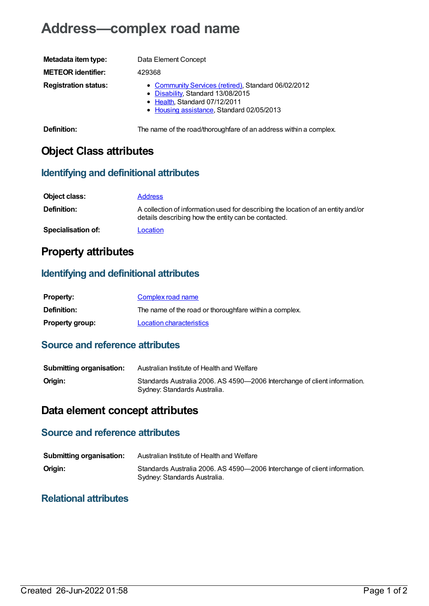# **Address—complex road name**

| Metadata item type:         | Data Element Concept                                                                                                                                                   |
|-----------------------------|------------------------------------------------------------------------------------------------------------------------------------------------------------------------|
| <b>METEOR identifier:</b>   | 429368                                                                                                                                                                 |
| <b>Registration status:</b> | • Community Services (retired), Standard 06/02/2012<br>• Disability, Standard 13/08/2015<br>• Health, Standard 07/12/2011<br>• Housing assistance, Standard 02/05/2013 |

**Definition:** The name of the road/thoroughfare of an address within a complex.

## **Object Class attributes**

#### **Identifying and definitional attributes**

| Object class:             | <b>Address</b>                                                                                                                          |
|---------------------------|-----------------------------------------------------------------------------------------------------------------------------------------|
| <b>Definition:</b>        | A collection of information used for describing the location of an entity and/or<br>details describing how the entity can be contacted. |
| <b>Specialisation of:</b> | Location                                                                                                                                |

### **Property attributes**

#### **Identifying and definitional attributes**

| <b>Property:</b>       | Complex road name                                      |
|------------------------|--------------------------------------------------------|
| <b>Definition:</b>     | The name of the road or thoroughfare within a complex. |
| <b>Property group:</b> | Location characteristics                               |

#### **Source and reference attributes**

| <b>Submitting organisation:</b> | Australian Institute of Health and Welfare                                                                |
|---------------------------------|-----------------------------------------------------------------------------------------------------------|
| Origin:                         | Standards Australia 2006. AS 4590-2006 Interchange of client information.<br>Sydney: Standards Australia. |

### **Data element concept attributes**

#### **Source and reference attributes**

| <b>Submitting organisation:</b> | Australian Institute of Health and Welfare                                                                |
|---------------------------------|-----------------------------------------------------------------------------------------------------------|
| Origin:                         | Standards Australia 2006. AS 4590-2006 Interchange of client information.<br>Sydney: Standards Australia. |

#### **Relational attributes**